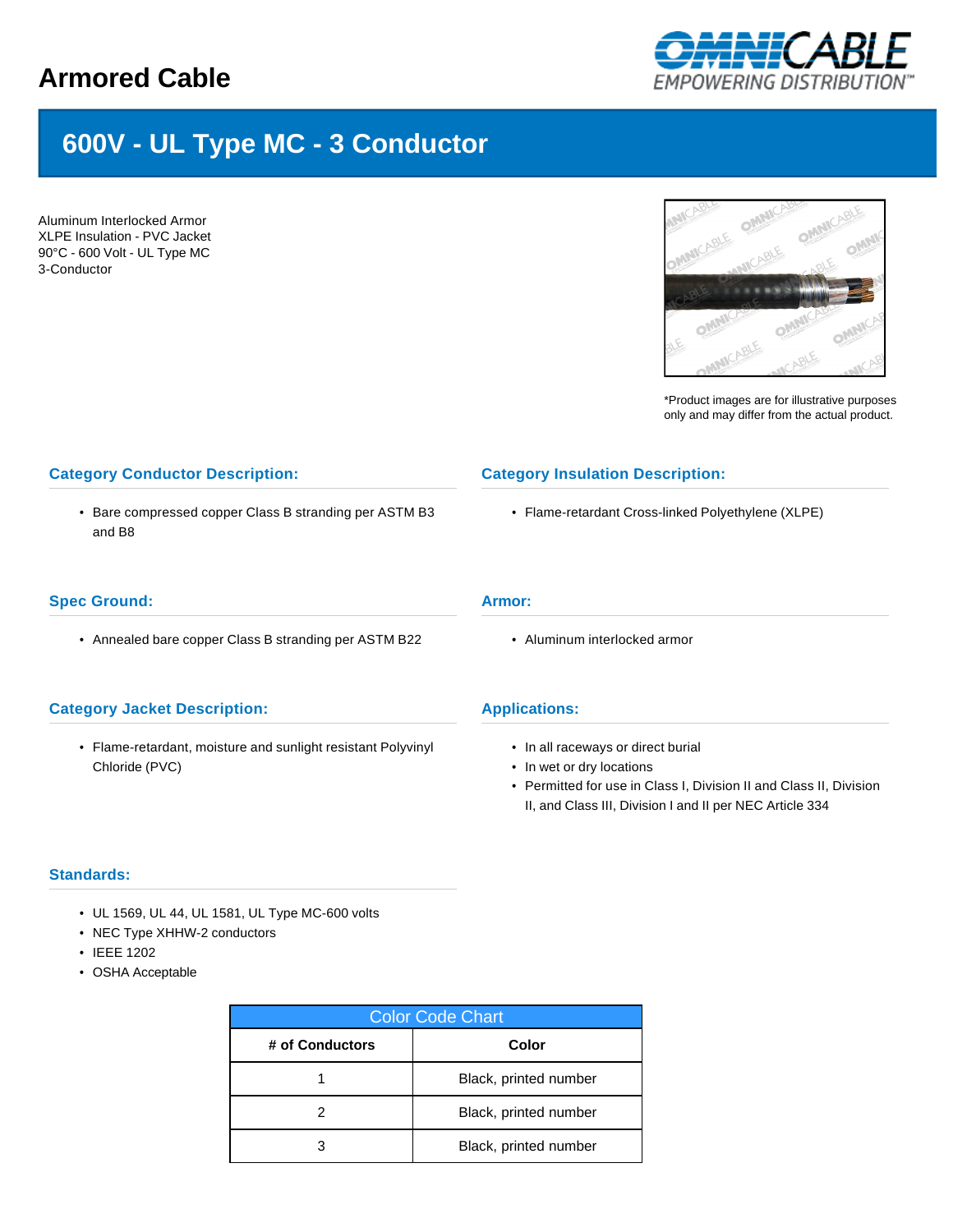## **Armored Cable**



# **600V - UL Type MC - 3 Conductor**

Aluminum Interlocked Armor XLPE Insulation - PVC Jacket 90°C - 600 Volt - UL Type MC 3-Conductor



\*Product images are for illustrative purposes only and may differ from the actual product.

### **Category Conductor Description:** • Bare compressed copper Class B stranding per ASTM B3 and B8 **Category Insulation Description:** • Flame-retardant Cross-linked Polyethylene (XLPE) **Spec Ground:** • Annealed bare copper Class B stranding per ASTM B22 **Armor:** • Aluminum interlocked armor

#### **Category Jacket Description:**

• Flame-retardant, moisture and sunlight resistant Polyvinyl Chloride (PVC)

#### **Applications:**

- In all raceways or direct burial
- In wet or dry locations
- Permitted for use in Class I, Division II and Class II, Division II, and Class III, Division I and II per NEC Article 334

#### **Standards:**

- UL 1569, UL 44, UL 1581, UL Type MC-600 volts
- NEC Type XHHW-2 conductors
- IEEE 1202
- OSHA Acceptable

| <b>Color Code Chart</b> |                       |  |  |  |
|-------------------------|-----------------------|--|--|--|
| # of Conductors         | Color                 |  |  |  |
|                         | Black, printed number |  |  |  |
|                         | Black, printed number |  |  |  |
|                         | Black, printed number |  |  |  |